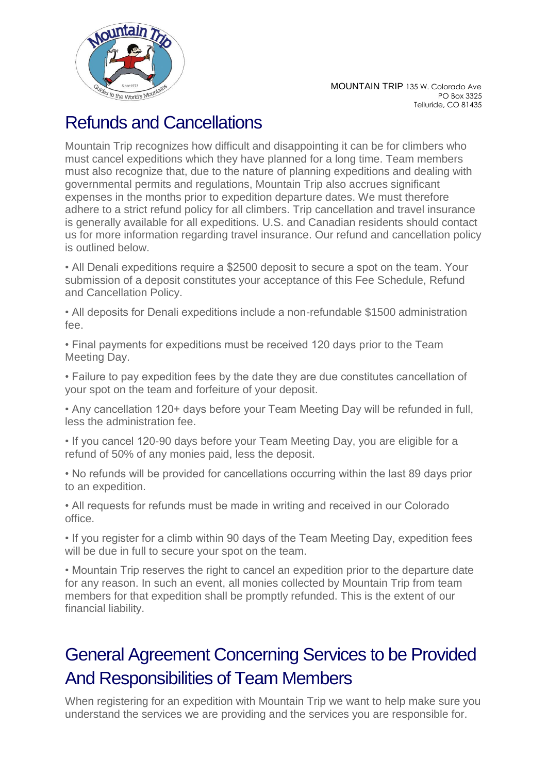

## Refunds and Cancellations

Mountain Trip recognizes how difficult and disappointing it can be for climbers who must cancel expeditions which they have planned for a long time. Team members must also recognize that, due to the nature of planning expeditions and dealing with governmental permits and regulations, Mountain Trip also accrues significant expenses in the months prior to expedition departure dates. We must therefore adhere to a strict refund policy for all climbers. Trip cancellation and travel insurance is generally available for all expeditions. U.S. and Canadian residents should contact us for more information regarding travel insurance. Our refund and cancellation policy is outlined below.

• All Denali expeditions require a \$2500 deposit to secure a spot on the team. Your submission of a deposit constitutes your acceptance of this Fee Schedule, Refund and Cancellation Policy.

• All deposits for Denali expeditions include a non-refundable \$1500 administration fee.

• Final payments for expeditions must be received 120 days prior to the Team Meeting Day.

• Failure to pay expedition fees by the date they are due constitutes cancellation of your spot on the team and forfeiture of your deposit.

• Any cancellation 120+ days before your Team Meeting Day will be refunded in full, less the administration fee.

- If you cancel 120-90 days before your Team Meeting Day, you are eligible for a refund of 50% of any monies paid, less the deposit.
- No refunds will be provided for cancellations occurring within the last 89 days prior to an expedition.

• All requests for refunds must be made in writing and received in our Colorado office.

• If you register for a climb within 90 days of the Team Meeting Day, expedition fees will be due in full to secure your spot on the team.

• Mountain Trip reserves the right to cancel an expedition prior to the departure date for any reason. In such an event, all monies collected by Mountain Trip from team members for that expedition shall be promptly refunded. This is the extent of our financial liability.

# General Agreement Concerning Services to be Provided And Responsibilities of Team Members

When registering for an expedition with Mountain Trip we want to help make sure you understand the services we are providing and the services you are responsible for.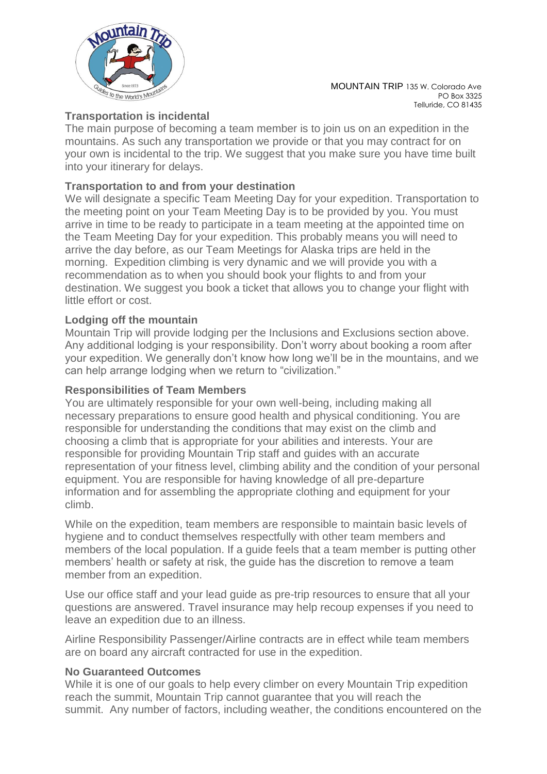

MOUNTAIN TRIP 135 W. Colorado Ave PO Box 3325 Telluride, CO 81435

### **Transportation is incidental**

The main purpose of becoming a team member is to join us on an expedition in the mountains. As such any transportation we provide or that you may contract for on your own is incidental to the trip. We suggest that you make sure you have time built into your itinerary for delays.

### **Transportation to and from your destination**

We will designate a specific Team Meeting Day for your expedition. Transportation to the meeting point on your Team Meeting Day is to be provided by you. You must arrive in time to be ready to participate in a team meeting at the appointed time on the Team Meeting Day for your expedition. This probably means you will need to arrive the day before, as our Team Meetings for Alaska trips are held in the morning. Expedition climbing is very dynamic and we will provide you with a recommendation as to when you should book your flights to and from your destination. We suggest you book a ticket that allows you to change your flight with little effort or cost.

#### **Lodging off the mountain**

Mountain Trip will provide lodging per the Inclusions and Exclusions section above. Any additional lodging is your responsibility. Don't worry about booking a room after your expedition. We generally don't know how long we'll be in the mountains, and we can help arrange lodging when we return to "civilization."

#### **Responsibilities of Team Members**

You are ultimately responsible for your own well-being, including making all necessary preparations to ensure good health and physical conditioning. You are responsible for understanding the conditions that may exist on the climb and choosing a climb that is appropriate for your abilities and interests. Your are responsible for providing Mountain Trip staff and guides with an accurate representation of your fitness level, climbing ability and the condition of your personal equipment. You are responsible for having knowledge of all pre-departure information and for assembling the appropriate clothing and equipment for your climb.

While on the expedition, team members are responsible to maintain basic levels of hygiene and to conduct themselves respectfully with other team members and members of the local population. If a guide feels that a team member is putting other members' health or safety at risk, the guide has the discretion to remove a team member from an expedition.

Use our office staff and your lead guide as pre-trip resources to ensure that all your questions are answered. Travel insurance may help recoup expenses if you need to leave an expedition due to an illness.

Airline Responsibility Passenger/Airline contracts are in effect while team members are on board any aircraft contracted for use in the expedition.

#### **No Guaranteed Outcomes**

While it is one of our goals to help every climber on every Mountain Trip expedition reach the summit, Mountain Trip cannot guarantee that you will reach the summit. Any number of factors, including weather, the conditions encountered on the